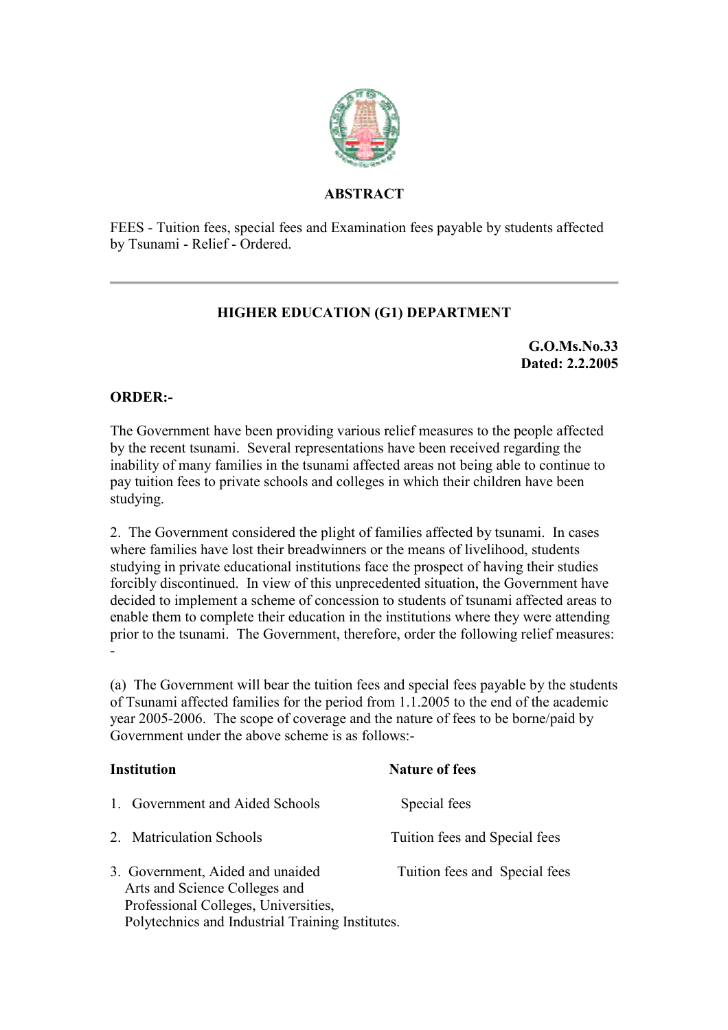

## **ABSTRACT**

FEES - Tuition fees, special fees and Examination fees payable by students affected by Tsunami - Relief - Ordered.

## **HIGHER EDUCATION (G1) DEPARTMENT**

**G.O.Ms.No.33 Dated: 2.2.2005**

## **ORDER:-**

The Government have been providing various relief measures to the people affected by the recent tsunami. Several representations have been received regarding the inability of many families in the tsunami affected areas not being able to continue to pay tuition fees to private schools and colleges in which their children have been studying.

2. The Government considered the plight of families affected by tsunami. In cases where families have lost their breadwinners or the means of livelihood, students studying in private educational institutions face the prospect of having their studies forcibly discontinued. In view of this unprecedented situation, the Government have decided to implement a scheme of concession to students of tsunami affected areas to enable them to complete their education in the institutions where they were attending prior to the tsunami. The Government, therefore, order the following relief measures: -

(a) The Government will bear the tuition fees and special fees payable by the students of Tsunami affected families for the period from 1.1.2005 to the end of the academic year 2005-2006. The scope of coverage and the nature of fees to be borne/paid by Government under the above scheme is as follows:-

| <b>Institution</b>                                                                                                                                            | <b>Nature of fees</b>         |
|---------------------------------------------------------------------------------------------------------------------------------------------------------------|-------------------------------|
| 1. Government and Aided Schools                                                                                                                               | Special fees                  |
| 2. Matriculation Schools                                                                                                                                      | Tuition fees and Special fees |
| 3. Government, Aided and unaided<br>Arts and Science Colleges and<br>Professional Colleges, Universities,<br>Polytechnics and Industrial Training Institutes. | Tuition fees and Special fees |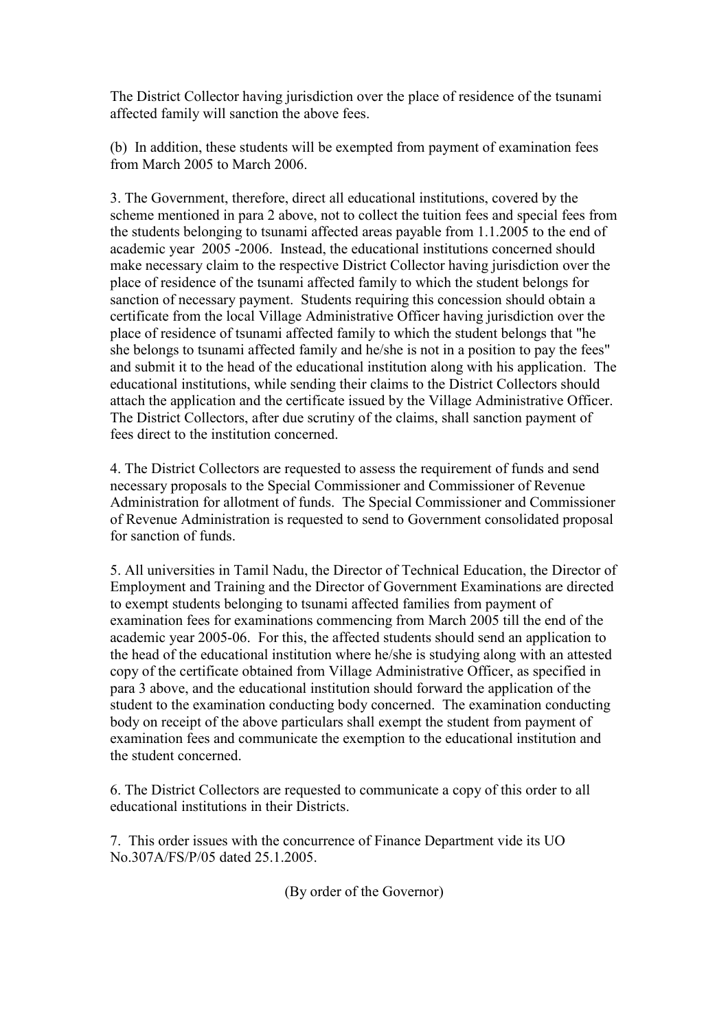The District Collector having jurisdiction over the place of residence of the tsunami affected family will sanction the above fees.

(b) In addition, these students will be exempted from payment of examination fees from March 2005 to March 2006.

3. The Government, therefore, direct all educational institutions, covered by the scheme mentioned in para 2 above, not to collect the tuition fees and special fees from the students belonging to tsunami affected areas payable from 1.1.2005 to the end of academic year 2005 -2006. Instead, the educational institutions concerned should make necessary claim to the respective District Collector having jurisdiction over the place of residence of the tsunami affected family to which the student belongs for sanction of necessary payment. Students requiring this concession should obtain a certificate from the local Village Administrative Officer having jurisdiction over the place of residence of tsunami affected family to which the student belongs that "he she belongs to tsunami affected family and he/she is not in a position to pay the fees" and submit it to the head of the educational institution along with his application. The educational institutions, while sending their claims to the District Collectors should attach the application and the certificate issued by the Village Administrative Officer. The District Collectors, after due scrutiny of the claims, shall sanction payment of fees direct to the institution concerned.

4. The District Collectors are requested to assess the requirement of funds and send necessary proposals to the Special Commissioner and Commissioner of Revenue Administration for allotment of funds. The Special Commissioner and Commissioner of Revenue Administration is requested to send to Government consolidated proposal for sanction of funds.

5. All universities in Tamil Nadu, the Director of Technical Education, the Director of Employment and Training and the Director of Government Examinations are directed to exempt students belonging to tsunami affected families from payment of examination fees for examinations commencing from March 2005 till the end of the academic year 2005-06. For this, the affected students should send an application to the head of the educational institution where he/she is studying along with an attested copy of the certificate obtained from Village Administrative Officer, as specified in para 3 above, and the educational institution should forward the application of the student to the examination conducting body concerned. The examination conducting body on receipt of the above particulars shall exempt the student from payment of examination fees and communicate the exemption to the educational institution and the student concerned.

6. The District Collectors are requested to communicate a copy of this order to all educational institutions in their Districts.

7. This order issues with the concurrence of Finance Department vide its UO No.307A/FS/P/05 dated 25.1.2005.

(By order of the Governor)